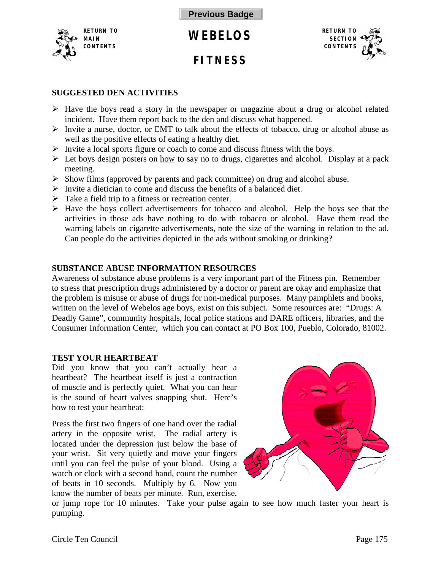<span id="page-0-0"></span>

**FITNESS**



# **SUGGESTED DEN ACTIVITIES**

- $\triangleright$  Have the boys read a story in the newspaper or magazine about a drug or alcohol related incident. Have them report back to the den and discuss what happened.
- $\triangleright$  Invite a nurse, doctor, or EMT to talk about the effects of tobacco, drug or alcohol abuse as well as the positive effects of eating a healthy diet.
- $\triangleright$  Invite a local sports figure or coach to come and discuss fitness with the boys.
- $\triangleright$  Let boys design posters on how to say no to drugs, cigarettes and alcohol. Display at a pack meeting.
- $\triangleright$  Show films (approved by parents and pack committee) on drug and alcohol abuse.
- $\triangleright$  Invite a dietician to come and discuss the benefits of a balanced diet.
- $\triangleright$  Take a field trip to a fitness or recreation center.
- $\triangleright$  Have the boys collect advertisements for tobacco and alcohol. Help the boys see that the activities in those ads have nothing to do with tobacco or alcohol. Have them read the warning labels on cigarette advertisements, note the size of the warning in relation to the ad. Can people do the activities depicted in the ads without smoking or drinking?

## **SUBSTANCE ABUSE INFORMATION RESOURCES**

Awareness of substance abuse problems is a very important part of the Fitness pin. Remember to stress that prescription drugs administered by a doctor or parent are okay and emphasize that the problem is misuse or abuse of drugs for non-medical purposes. Many pamphlets and books, written on the level of Webelos age boys, exist on this subject. Some resources are: "Drugs: A Deadly Game", community hospitals, local police stations and DARE officers, libraries, and the Consumer Information Center, which you can contact at PO Box 100, Pueblo, Colorado, 81002.

### **TEST YOUR HEARTBEAT**

Did you know that you can't actually hear a heartbeat? The heartbeat itself is just a contraction of muscle and is perfectly quiet. What you can hear is the sound of heart valves snapping shut. Here's how to test your heartbeat:

Press the first two fingers of one hand over the radial artery in the opposite wrist. The radial artery is located under the depression just below the base of your wrist. Sit very quietly and move your fingers until you can feel the pulse of your blood. Using a watch or clock with a second hand, count the number of beats in 10 seconds. Multiply by 6. Now you know the number of beats per minute. Run, exercise,



or jump rope for 10 minutes. Take your pulse again to see how much faster your heart is pumping.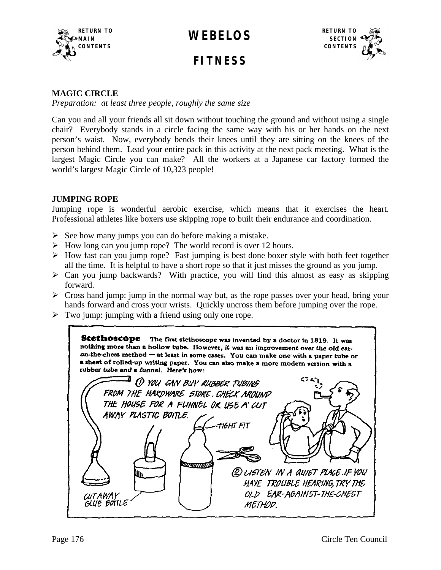<span id="page-1-0"></span>

**FITNESS**



#### **MAGIC CIRCLE**

*Preparation: at least three people, roughly the same size*

Can you and all your friends all sit down without touching the ground and without using a single chair? Everybody stands in a circle facing the same way with his or her hands on the next person's waist. Now, everybody bends their knees until they are sitting on the knees of the person behind them. Lead your entire pack in this activity at the next pack meeting. What is the largest Magic Circle you can make? All the workers at a Japanese car factory formed the world's largest Magic Circle of 10,323 people!

#### **JUMPING ROPE**

Jumping rope is wonderful aerobic exercise, which means that it exercises the heart. Professional athletes like boxers use skipping rope to built their endurance and coordination.

- $\triangleright$  See how many jumps you can do before making a mistake.
- $\triangleright$  How long can you jump rope? The world record is over 12 hours.
- $\triangleright$  How fast can you jump rope? Fast jumping is best done boxer style with both feet together all the time. It is helpful to have a short rope so that it just misses the ground as you jump.
- $\triangleright$  Can you jump backwards? With practice, you will find this almost as easy as skipping forward.
- $\triangleright$  Cross hand jump: jump in the normal way but, as the rope passes over your head, bring your hands forward and cross your wrists. Quickly uncross them before jumping over the rope.
- $\triangleright$  Two jump: jumping with a friend using only one rope.

Stethoscope The first stethoscope was invented by a doctor in 1819. It was nothing more than a hollow tube. However, it was an improvement over the old earon-the-chest method - at least in some cases. You can make one with a paper tube or a sheet of rolled-up writing paper. You can also make a more modern version with a rubber tube and a funnel. Here's how: 1 YOU GAN BUY RUBBER TUBING FROM THE HARDWARE STORE. CHECK AROUND THE HOUSE FOR A FUNNEL OR USE A CUT AWAY PLASTIC BOTTLE. TIGHT FIT (2) LISTEN IN A QUIET PLACE IF YOU HAVE TROUBLE HEARING, TRY THE OLD EAR-AGAINST-THE-CHEST CUTAWAY GUIE BOTTLE METHOD.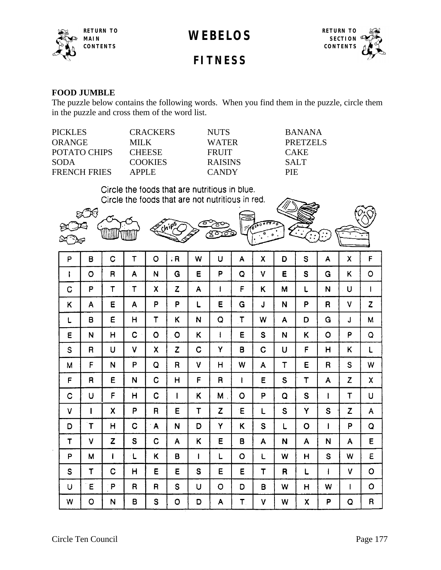



**FITNESS**

#### **FOOD JUMBLE**

The puzzle below contains the following words. When you find them in the puzzle, circle them in the puzzle and cross them of the word list.

| <b>CRACKERS</b> | <b>NUTS</b>    | <b>BANANA</b> |
|-----------------|----------------|---------------|
| MILK.           | WATER          | PRETZELS      |
| <b>CHEESE</b>   | <b>FRUIT</b>   | <b>CAKE</b>   |
| <b>COOKIES</b>  | <b>RAISINS</b> | <b>SALT</b>   |
| APPLE           | <b>CANDY</b>   | PIE.          |
|                 |                |               |

Circle the foods that are nutritious in blue. Circle the foods that are not nutritious in red.



| P | B            | C            | $\mathsf T$  | $\circ$                 | .R               | W            | U                        | A            | Χ  | D           | S           | A           | X            | $\mathsf F$  |
|---|--------------|--------------|--------------|-------------------------|------------------|--------------|--------------------------|--------------|----|-------------|-------------|-------------|--------------|--------------|
| ŧ | O            | R            | A            | N                       | G                | E            | P                        | Q            | V  | E           | S           | G           | Κ            | $\circ$      |
| C | P            | $\mathsf T$  | $\mathsf T$  | X                       | $\boldsymbol{z}$ | A            | T                        | F            | Κ  | M           | L           | N           | U            | $\mathbf{I}$ |
| Κ | A            | E            | Α            | P                       | P                | L            | E                        | G            | J  | N           | P           | R           | ٧            | Z            |
| L | 8            | E            | H            | $\overline{\mathsf{T}}$ | Κ                | N            | Q                        | $\mathsf T$  | W  | A           | D           | G           | J            | M            |
| E | N            | H            | C            | $\circ$                 | $\circ$          | K            | $\overline{\phantom{a}}$ | E            | S  | N           | Κ           | $\circ$     | P            | Q            |
| S | R            | U            | V            | χ                       | Z                | C            | Ÿ                        | B            | C  | U           | F           | H           | Κ            | L            |
| M | F            | N            | P            | Q                       | R                | ٧            | H                        | W            | Α  | T           | E           | $\mathsf R$ | S            | W            |
| F | R            | E            | N            | C                       | H                | F            | R                        | $\mathbf{I}$ | E  | S           | $\mathsf T$ | A           | $\mathsf{Z}$ | X            |
| C | U            | F            | H            | C                       | I                | Κ            | M                        | O            | P  | Q           | $\mathbf S$ | I           | $\mathsf T$  | U            |
| V | $\mathbf{I}$ | X            | P            | R                       | E                | T            | Z                        | Έ            | L  | $\mathbf S$ | Ÿ           | S           | Z            | A            |
| D | $\mathsf T$  | H            | C            | A                       | N                | D            | Ÿ                        | Κ            | S  | Г           | O           | ł           | P            | $\mathsf Q$  |
| T | ٧            | Z            | S            | C                       | A                | Κ            | Έ                        | B            | A  | N           | A           | N           | Α            | E            |
| P | M            | $\mathbf{I}$ | ۰L           | Κ                       | B                | $\mathbf{I}$ | L                        | O            | L. | W           | Н           | S           | W            | E            |
| S | T            | C            | H            | E                       | E                | S            | E                        | E            | T  | R           | L           | $\mathbf l$ | ٧            | $\circ$      |
| U | Ε            | P            | $\mathsf{R}$ | R                       | S                | U            | $\circ$                  | D            | B  | W           | н           | W           | I            | $\circ$      |
| W | O            | N            | B            | S                       | $\circ$          | D            | A                        | $T_{\rm{L}}$ | ٧  | W           | X           | P           | Q            | R            |